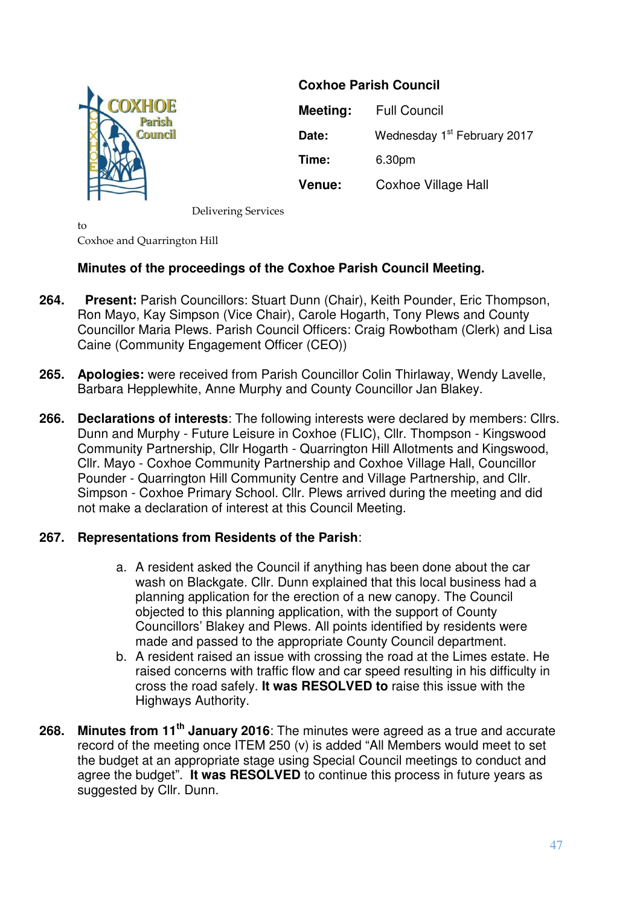

**Coxhoe Parish Council Meeting:** Full Council **Date:** Wednesday 1<sup>st</sup> February 2017 **Time:** 6.30pm **Venue:** Coxhoe Village Hall

Delivering Services

to Coxhoe and Quarrington Hill

## **Minutes of the proceedings of the Coxhoe Parish Council Meeting.**

- **264. Present:** Parish Councillors: Stuart Dunn (Chair), Keith Pounder, Eric Thompson, Ron Mayo, Kay Simpson (Vice Chair), Carole Hogarth, Tony Plews and County Councillor Maria Plews. Parish Council Officers: Craig Rowbotham (Clerk) and Lisa Caine (Community Engagement Officer (CEO))
- **265. Apologies:** were received from Parish Councillor Colin Thirlaway, Wendy Lavelle, Barbara Hepplewhite, Anne Murphy and County Councillor Jan Blakey.
- **266. Declarations of interests**: The following interests were declared by members: Cllrs. Dunn and Murphy - Future Leisure in Coxhoe (FLIC), Cllr. Thompson - Kingswood Community Partnership, Cllr Hogarth - Quarrington Hill Allotments and Kingswood, Cllr. Mayo - Coxhoe Community Partnership and Coxhoe Village Hall, Councillor Pounder - Quarrington Hill Community Centre and Village Partnership, and Cllr. Simpson - Coxhoe Primary School. Cllr. Plews arrived during the meeting and did not make a declaration of interest at this Council Meeting.

## **267. Representations from Residents of the Parish**:

- a. A resident asked the Council if anything has been done about the car wash on Blackgate. Cllr. Dunn explained that this local business had a planning application for the erection of a new canopy. The Council objected to this planning application, with the support of County Councillors' Blakey and Plews. All points identified by residents were made and passed to the appropriate County Council department.
- b. A resident raised an issue with crossing the road at the Limes estate. He raised concerns with traffic flow and car speed resulting in his difficulty in cross the road safely. **It was RESOLVED to** raise this issue with the Highways Authority.
- **268. Minutes from 11th January 2016**: The minutes were agreed as a true and accurate record of the meeting once ITEM 250 (v) is added "All Members would meet to set the budget at an appropriate stage using Special Council meetings to conduct and agree the budget". **It was RESOLVED** to continue this process in future years as suggested by Cllr. Dunn.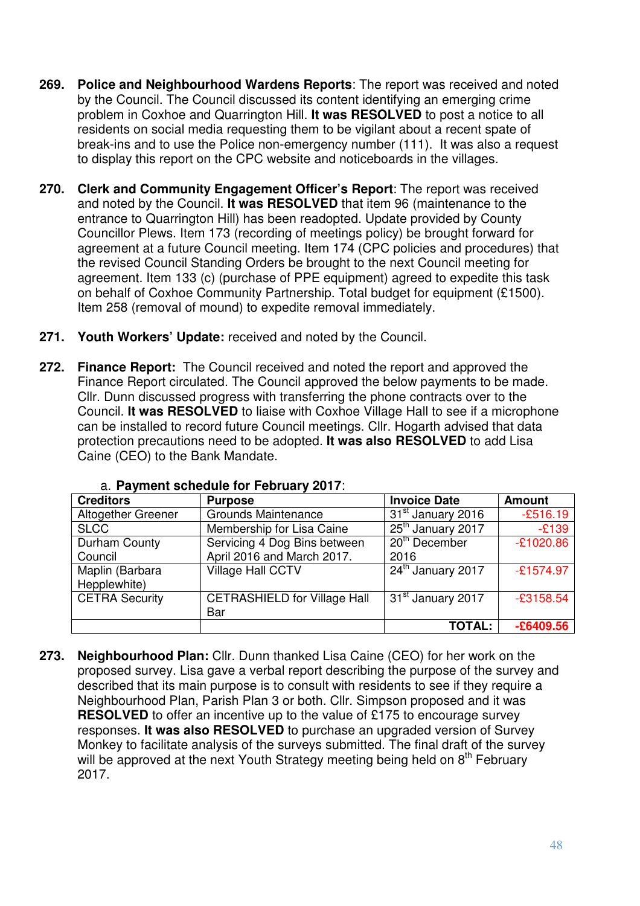- **269. Police and Neighbourhood Wardens Reports**: The report was received and noted by the Council. The Council discussed its content identifying an emerging crime problem in Coxhoe and Quarrington Hill. **It was RESOLVED** to post a notice to all residents on social media requesting them to be vigilant about a recent spate of break-ins and to use the Police non-emergency number (111). It was also a request to display this report on the CPC website and noticeboards in the villages.
- **270. Clerk and Community Engagement Officer's Report**: The report was received and noted by the Council. **It was RESOLVED** that item 96 (maintenance to the entrance to Quarrington Hill) has been readopted. Update provided by County Councillor Plews. Item 173 (recording of meetings policy) be brought forward for agreement at a future Council meeting. Item 174 (CPC policies and procedures) that the revised Council Standing Orders be brought to the next Council meeting for agreement. Item 133 (c) (purchase of PPE equipment) agreed to expedite this task on behalf of Coxhoe Community Partnership. Total budget for equipment (£1500). Item 258 (removal of mound) to expedite removal immediately.
- **271. Youth Workers' Update:** received and noted by the Council.
- **272. Finance Report:** The Council received and noted the report and approved the Finance Report circulated. The Council approved the below payments to be made. Cllr. Dunn discussed progress with transferring the phone contracts over to the Council. **It was RESOLVED** to liaise with Coxhoe Village Hall to see if a microphone can be installed to record future Council meetings. Cllr. Hogarth advised that data protection precautions need to be adopted. **It was also RESOLVED** to add Lisa Caine (CEO) to the Bank Mandate.

| <b>Creditors</b>      | <b>Purpose</b>                      | <b>Invoice Date</b>           | <b>Amount</b> |
|-----------------------|-------------------------------------|-------------------------------|---------------|
| Altogether Greener    | <b>Grounds Maintenance</b>          | 31 <sup>st</sup> January 2016 | $-£516.19$    |
| <b>SLCC</b>           | Membership for Lisa Caine           | 25 <sup>th</sup> January 2017 | $-E139$       |
| Durham County         | Servicing 4 Dog Bins between        | 20 <sup>th</sup> December     | $-£1020.86$   |
| Council               | April 2016 and March 2017.          | 2016                          |               |
| Maplin (Barbara       | <b>Village Hall CCTV</b>            | 24 <sup>th</sup> January 2017 | $-£1574.97$   |
| Hepplewhite)          |                                     |                               |               |
| <b>CETRA Security</b> | <b>CETRASHIELD for Village Hall</b> | 31 <sup>st</sup> January 2017 | $-£3158.54$   |
|                       | Bar                                 |                               |               |
|                       |                                     | <b>TOTAL:</b>                 | $-£6409.56$   |

a. **Payment schedule for February 2017**:

**273. Neighbourhood Plan:** Cllr. Dunn thanked Lisa Caine (CEO) for her work on the proposed survey. Lisa gave a verbal report describing the purpose of the survey and described that its main purpose is to consult with residents to see if they require a Neighbourhood Plan, Parish Plan 3 or both. Cllr. Simpson proposed and it was **RESOLVED** to offer an incentive up to the value of £175 to encourage survey responses. **It was also RESOLVED** to purchase an upgraded version of Survey Monkey to facilitate analysis of the surveys submitted. The final draft of the survey will be approved at the next Youth Strategy meeting being held on 8<sup>th</sup> February 2017.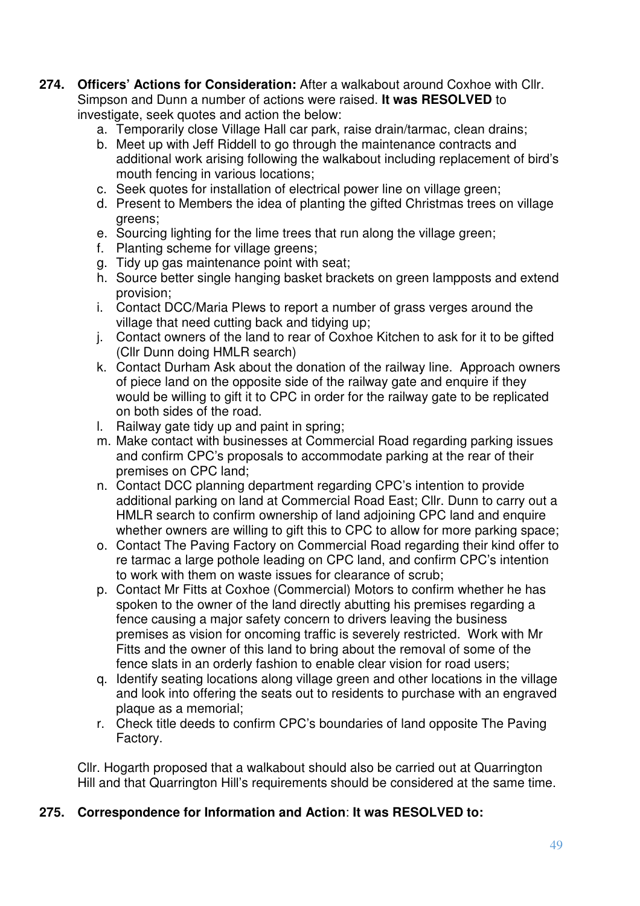- **274. Officers' Actions for Consideration:** After a walkabout around Coxhoe with Cllr. Simpson and Dunn a number of actions were raised. **It was RESOLVED** to investigate, seek quotes and action the below:
	- a. Temporarily close Village Hall car park, raise drain/tarmac, clean drains;
	- b. Meet up with Jeff Riddell to go through the maintenance contracts and additional work arising following the walkabout including replacement of bird's mouth fencing in various locations;
	- c. Seek quotes for installation of electrical power line on village green;
	- d. Present to Members the idea of planting the gifted Christmas trees on village greens;
	- e. Sourcing lighting for the lime trees that run along the village green;
	- f. Planting scheme for village greens;
	- g. Tidy up gas maintenance point with seat;
	- h. Source better single hanging basket brackets on green lampposts and extend provision;
	- i. Contact DCC/Maria Plews to report a number of grass verges around the village that need cutting back and tidying up;
	- j. Contact owners of the land to rear of Coxhoe Kitchen to ask for it to be gifted (Cllr Dunn doing HMLR search)
	- k. Contact Durham Ask about the donation of the railway line. Approach owners of piece land on the opposite side of the railway gate and enquire if they would be willing to gift it to CPC in order for the railway gate to be replicated on both sides of the road.
	- l. Railway gate tidy up and paint in spring;
	- m. Make contact with businesses at Commercial Road regarding parking issues and confirm CPC's proposals to accommodate parking at the rear of their premises on CPC land;
	- n. Contact DCC planning department regarding CPC's intention to provide additional parking on land at Commercial Road East; Cllr. Dunn to carry out a HMLR search to confirm ownership of land adjoining CPC land and enquire whether owners are willing to gift this to CPC to allow for more parking space;
	- o. Contact The Paving Factory on Commercial Road regarding their kind offer to re tarmac a large pothole leading on CPC land, and confirm CPC's intention to work with them on waste issues for clearance of scrub;
	- p. Contact Mr Fitts at Coxhoe (Commercial) Motors to confirm whether he has spoken to the owner of the land directly abutting his premises regarding a fence causing a major safety concern to drivers leaving the business premises as vision for oncoming traffic is severely restricted. Work with Mr Fitts and the owner of this land to bring about the removal of some of the fence slats in an orderly fashion to enable clear vision for road users;
	- q. Identify seating locations along village green and other locations in the village and look into offering the seats out to residents to purchase with an engraved plaque as a memorial;
	- r. Check title deeds to confirm CPC's boundaries of land opposite The Paving Factory.

Cllr. Hogarth proposed that a walkabout should also be carried out at Quarrington Hill and that Quarrington Hill's requirements should be considered at the same time.

# **275. Correspondence for Information and Action**: **It was RESOLVED to:**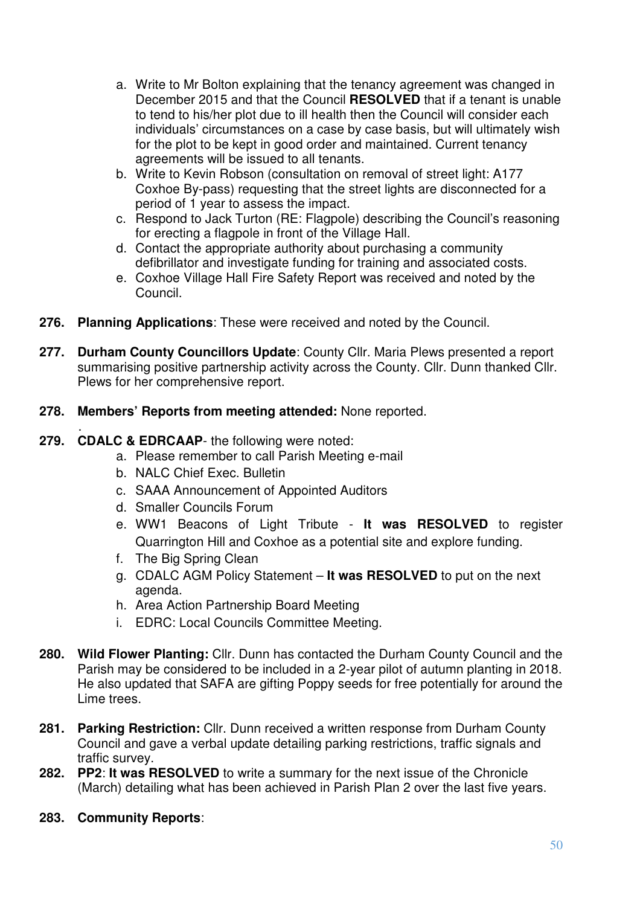- a. Write to Mr Bolton explaining that the tenancy agreement was changed in December 2015 and that the Council **RESOLVED** that if a tenant is unable to tend to his/her plot due to ill health then the Council will consider each individuals' circumstances on a case by case basis, but will ultimately wish for the plot to be kept in good order and maintained. Current tenancy agreements will be issued to all tenants.
- b. Write to Kevin Robson (consultation on removal of street light: A177 Coxhoe By-pass) requesting that the street lights are disconnected for a period of 1 year to assess the impact.
- c. Respond to Jack Turton (RE: Flagpole) describing the Council's reasoning for erecting a flagpole in front of the Village Hall.
- d. Contact the appropriate authority about purchasing a community defibrillator and investigate funding for training and associated costs.
- e. Coxhoe Village Hall Fire Safety Report was received and noted by the Council.
- **276. Planning Applications**: These were received and noted by the Council.
- **277. Durham County Councillors Update**: County Cllr. Maria Plews presented a report summarising positive partnership activity across the County. Cllr. Dunn thanked Cllr. Plews for her comprehensive report.
- **278. Members' Reports from meeting attended:** None reported.

#### . **279. CDALC & EDRCAAP**- the following were noted:

- a. Please remember to call Parish Meeting e-mail
- b. NALC Chief Exec. Bulletin
- c. SAAA Announcement of Appointed Auditors
- d. Smaller Councils Forum
- e. WW1 Beacons of Light Tribute **It was RESOLVED** to register Quarrington Hill and Coxhoe as a potential site and explore funding.
- f. The Big Spring Clean
- g. CDALC AGM Policy Statement **It was RESOLVED** to put on the next agenda.
- h. Area Action Partnership Board Meeting
- i. EDRC: Local Councils Committee Meeting.
- **280. Wild Flower Planting:** Cllr. Dunn has contacted the Durham County Council and the Parish may be considered to be included in a 2-year pilot of autumn planting in 2018. He also updated that SAFA are gifting Poppy seeds for free potentially for around the Lime trees.
- **281. Parking Restriction:** Cllr. Dunn received a written response from Durham County Council and gave a verbal update detailing parking restrictions, traffic signals and traffic survey.
- **282. PP2**: **It was RESOLVED** to write a summary for the next issue of the Chronicle (March) detailing what has been achieved in Parish Plan 2 over the last five years.
- **283. Community Reports**: